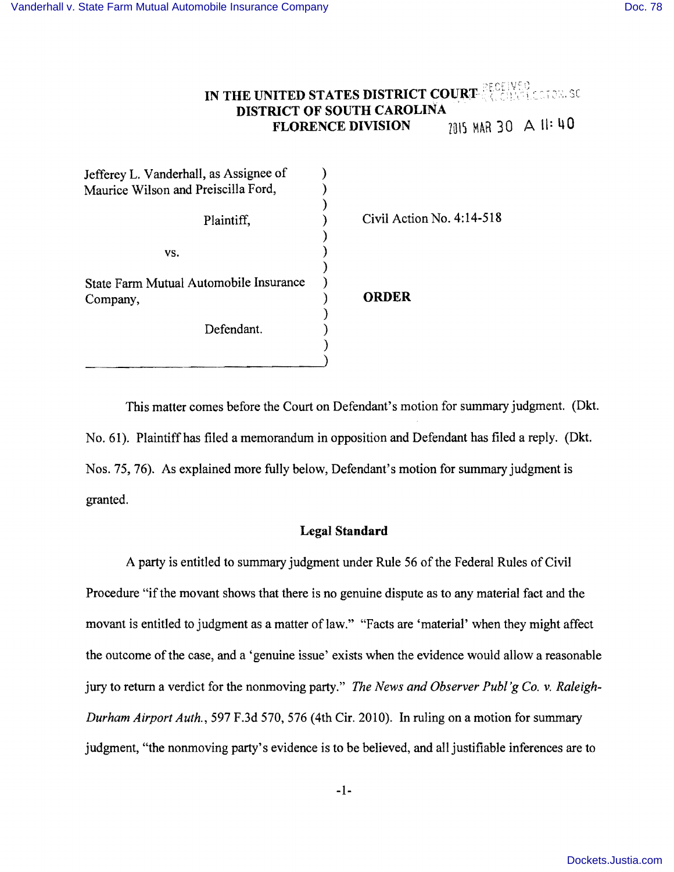# **IN THE UNITED STATES DISTRICT COURT <b>AND RECEIVED DISTRICT OF SOUTH CAROLINA FLORENCE DIVISION** 7015 MAR 30  $\triangle$  11: 40

| Jefferey L. Vanderhall, as Assignee of             |                             |  |
|----------------------------------------------------|-----------------------------|--|
| Maurice Wilson and Preiscilla Ford,                |                             |  |
| Plaintiff,                                         | Civil Action No. $4:14-518$ |  |
| VS.                                                |                             |  |
| State Farm Mutual Automobile Insurance<br>Company, | <b>ORDER</b>                |  |
| Defendant.                                         |                             |  |
|                                                    |                             |  |

This matter comes before the Court on Defendant's motion for summary judgment. (Dkt. No. 61). Plaintiffhas filed a memorandum in opposition and Defendant has filed a reply. (Dkt. Nos. 75, 76). As explained more fully below, Defendant's motion for summary judgment is granted.

### **Legal Standard**

A party is entitled to summary judgment under Rule 56 of the Federal Rules of Civil Procedure "if the movant shows that there is no genuine dispute as to any material fact and the movant is entitled to judgment as a matter of law." "Facts are 'material' when they might affect the outcome of the case, and a 'genuine issue' exists when the evidence would allow a reasonable jury to return a verdict for the nonmoving party." *The News and Observer Publ 'g Co.* v. *Raleigh-Durham Airport Auth.,* 597 F.3d 570, 576 (4th Cir. 2010). In ruling on a motion for summary judgment, "the nonmoving party's evidence is to be believed, and all justifiable inferences are to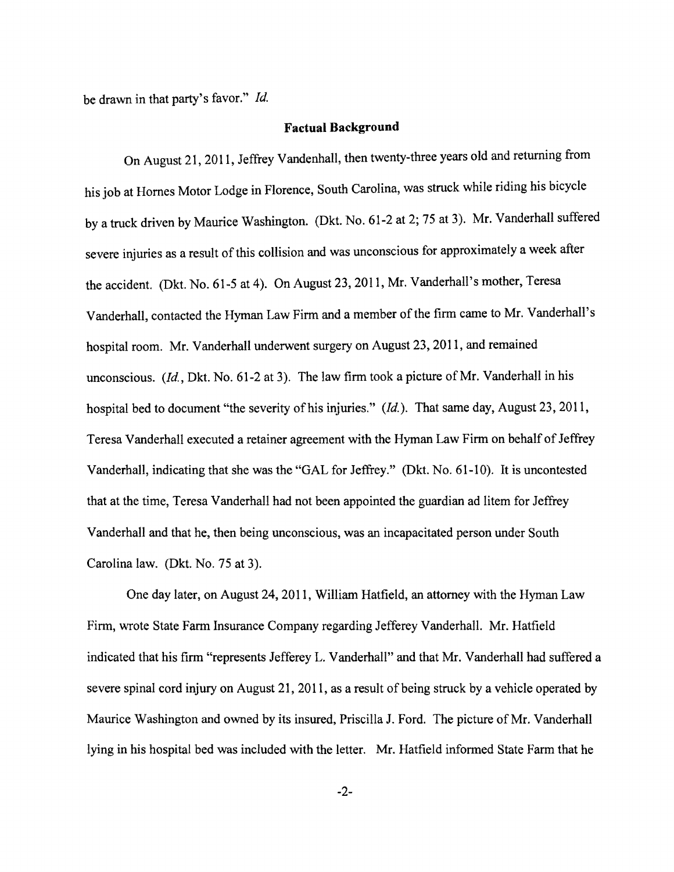be drawn in that party's favor."  $Id$ .

#### **Factual Background**

On August 21, 2011, Jeffrey Vandenhall, then twenty-three years old and returning from his job at Homes Motor Lodge in Florence, South Carolina, was struck while riding his bicycle by a truck driven by Maurice Washington. (Dkt. No. 61-2 at 2; 75 at 3). Mr. Vanderhall suffered severe injuries as a result of this collision and was unconscious for approximately a week after the accident. (Dkt. No. 61-5 at 4). On August 23,2011, Mr. Vanderhall's mother, Teresa Vanderhall, contacted the Hyman Law Firm and a member of the firm came to Mr. Vanderhall's hospital room. Mr. Vanderhall underwent surgery on August 23,2011, and remained unconscious. *(ld,* Dkt. No. 61-2 at 3). The law firm took a picture of Mr. Vanderhall in his hospital bed to document "the severity of his injuries." *(Id.)*. That same day, August 23, 2011, Teresa Vanderhall executed a retainer agreement with the Hyman Law Firm on behalf of Jeffrey Vanderhall, indicating that she was the "GAL for Jeffrey." (Dkt. No. 61-10). It is uncontested that at the time, Teresa Vanderhall had not been appointed the guardian ad litem for Jeffrey Vanderhall and that he, then being unconscious, was an incapacitated person under South Carolina law. (Dkt. No. 75 at 3).

One day later, on August 24,2011, William Hatfield, an attorney with the Hyman Law Firm, wrote State Farm Insurance Company regarding Jefferey Vanderhall. Mr. Hatfield indicated that his firm "represents Jefferey L. Vanderhall" and that Mr. Vanderhall had suffered a severe spinal cord injury on August 21, 2011, as a result of being struck by a vehicle operated by Maurice Washington and owned by its insured, Priscilla J. Ford. The picture of Mr. Vanderhall lying in his hospital bed was included with the letter. Mr. Hatfield informed State Farm that he

-2-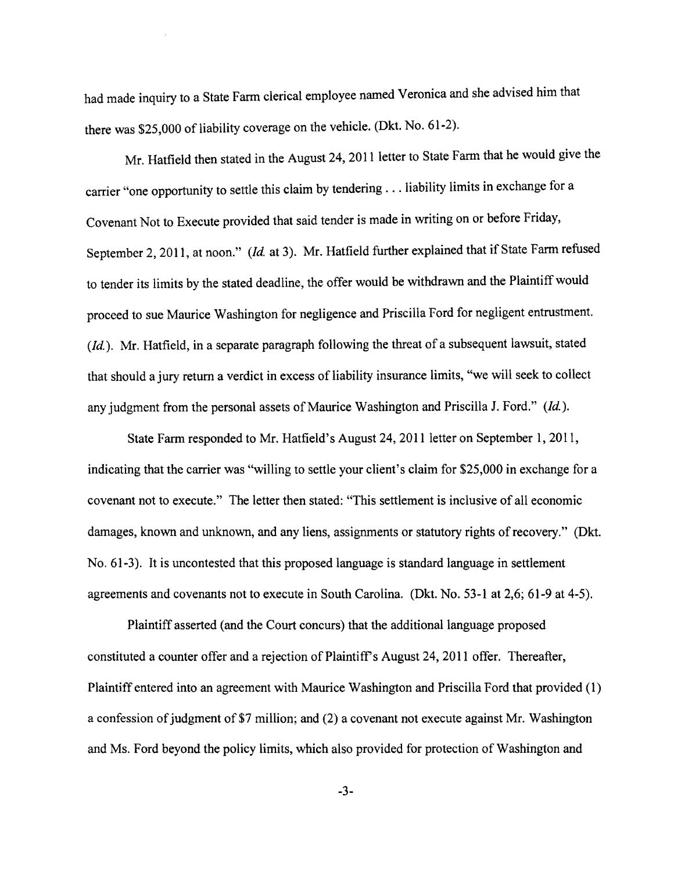had made inquiry to a State Fann clerical employee named Veronica and she advised him that there was \$25,000 of liability coverage on the vehicle. (Dkt. No. 61-2).

Mr. Hatfield then stated in the August 24, **2011** letter to State Fann that he would give the carrier "one opportunity to settle this claim by tendering ... liability limits in exchange for a Covenant Not to Execute provided that said tender is made in writing on or before Friday, September 2, 2011, at noon." (Id. at 3). Mr. Hatfield further explained that if State Farm refused to tender its limits by the stated deadline, the offer would be withdrawn and the Plaintiff would proceed to sue Maurice Washington for negligence and Priscilla Ford for negligent entrustment. *(Id.).* Mr. Hatfield, in a separate paragraph following the threat of a subsequent lawsuit, stated that should a jury return a verdict in excess of liability insurance limits, "we will seek to collect any judgment from the personal assets of Maurice Washington and Priscilla J. Ford." (Id.).

State Fann responded to Mr. Hatfield's August 24,2011 letter on September 1,2011, indicating that the carrier was "willing to settle your client's claim for \$25,000 in exchange for a covenant not to execute." The letter then stated: "This settlement is inclusive of all economic damages, known and unknown, and any liens, assignments or statutory rights of recovery." (Dkt. No. 61-3). It is uncontested that this proposed language is standard language in settlement agreements and covenants not to execute in South Carolina. (Dkt. No. 53-1 at 2,6; 61-9 at 4-5).

Plaintiff asserted (and the Court concurs) that the additional language proposed constituted a counter offer and a rejection of Plaintiff's August 24, 2011 offer. Thereafter, Plaintiff entered into an agreement with Maurice Washington and Priscilla Ford that provided (1) a confession of judgment of \$7 million; and  $(2)$  a covenant not execute against Mr. Washington and Ms. Ford beyond the policy limits, which also provided for protection of Washington and

-3-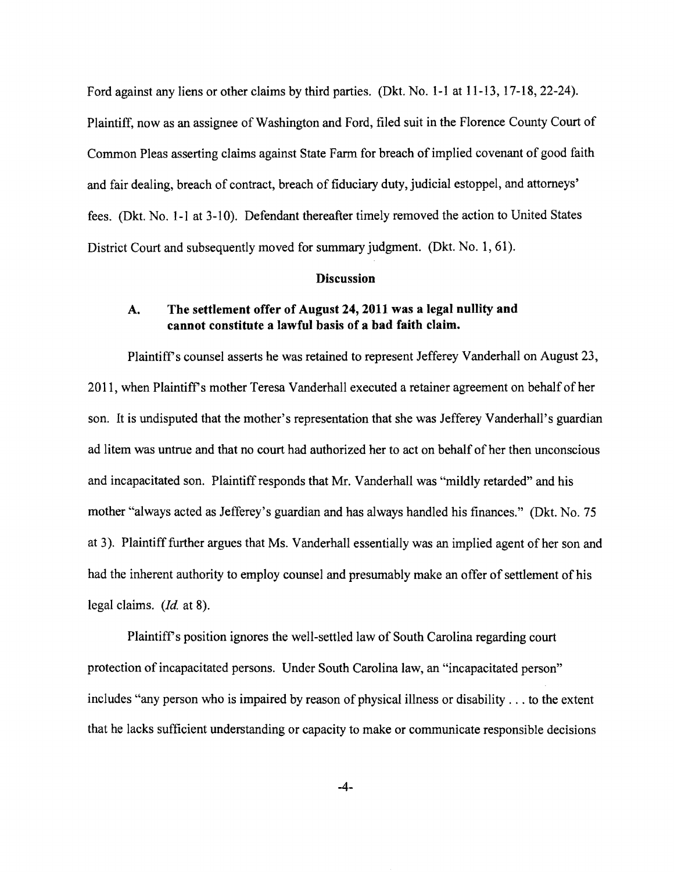Ford against any liens or other claims by third parties. (Dkt. No. 1-1 at 11-13, 17-18, 22-24).

Plaintiff, now as an assignee of Washington and Ford, filed suit in the Florence County Court of Common Pleas asserting claims against State Farm for breach of implied covenant of good faith and fair dealing, breach of contract, breach of fiduciary duty, judicial estoppel, and attorneys' fees. (Dkt. No. 1-1 at 3-10). Defendant thereafter timely removed the action to United States District Court and subsequently moved for summary judgment. (Dkt. No. 1, 61).

#### **Discussion**

## A. The settlement offer of August 24,2011 was a legal nullity and cannot constitute a lawful basis of a bad faith claim.

Plaintiffs counsel asserts he was retained to represent Jefferey Vanderhall on August 23, 2011, when Plaintiff's mother Teresa Vanderhall executed a retainer agreement on behalf of her son. It is undisputed that the mother's representation that she was Jefferey Vanderhall's guardian ad litem was untrue and that no court had authorized her to act on behalf of her then unconscious and incapacitated son. Plaintiff responds that Mr. Vanderhall was "mildly retarded" and his mother "always acted as Jefferey's guardian and has always handled his finances." (Dkt. No. 75 at 3). Plaintiff further argues that Ms. Vanderhall essentially was an implied agent of her son and had the inherent authority to employ counsel and presumably make an offer of settlement of his legal claims. (Jd. at 8).

Plaintiffs position ignores the well-settled law of South Carolina regarding court protection of incapacitated persons. Under South Carolina law, an "incapacitated person" includes "any person who is impaired by reason of physical illness or disability ... to the extent that he lacks sufficient understanding or capacity to make or communicate responsible decisions

-4-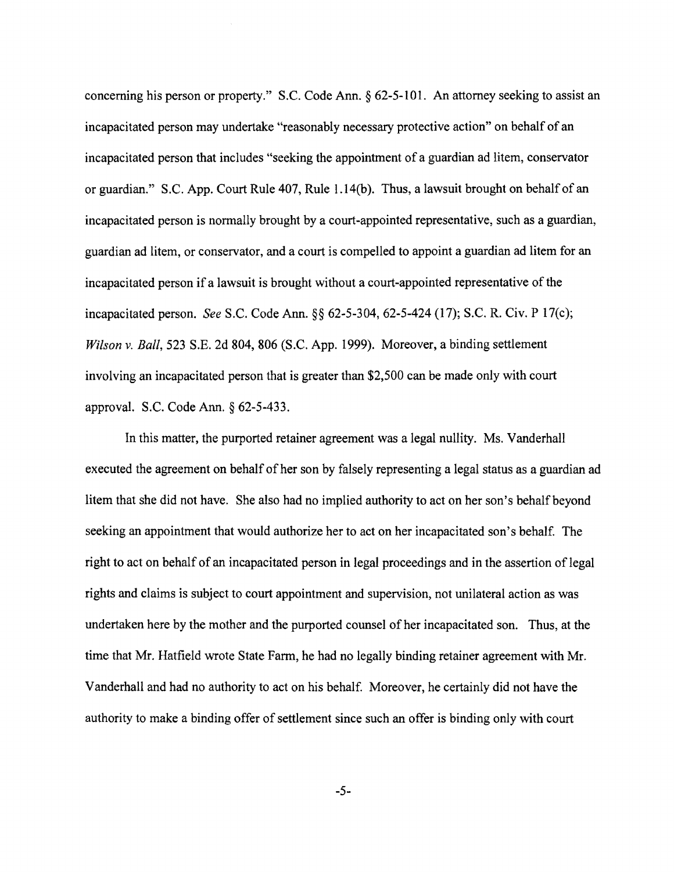concerning his person or property." S.C. Code Ann. § 62-5-101. An attorney seeking to assist an incapacitated person may undertake "reasonably necessary protective action" on behalf of an incapacitated person that includes "seeking the appointment of a guardian ad litem, conservator or guardian." S.C. App. Court Rule 407, Rule 1.14(b). Thus, a lawsuit brought on behalfof an incapacitated person is normally brought by a court-appointed representative, such as a guardian, guardian ad litem, or conservator, and a court is compelled to appoint a guardian ad litem for an incapacitated person if a lawsuit is brought without a court-appointed representative of the incapacitated person. *See* S.C. Code Ann. §§ 62-5-304, 62-5-424 (17); S.C. R. Civ. P 17(c); *Wilson v. Ball,* 523 S.E. 2d 804, 806 (S.C. App. 1999). Moreover, a binding settlement involving an incapacitated person that is greater than \$2,500 can be made only with court approval. S.C. Code Ann. § 62-5-433.

In this matter, the purported retainer agreement was a legal nullity. Ms. Vanderhall executed the agreement on behalf of her son by falsely representing a legal status as a guardian ad litem that she did not have. She also had no implied authority to act on her son's behalf beyond seeking an appointment that would authorize her to act on her incapacitated son's behalf. The right to act on behalf of an incapacitated person in legal proceedings and in the assertion of legal rights and claims is subject to court appointment and supervision, not unilateral action as was undertaken here by the mother and the purported counsel of her incapacitated son. Thus, at the time that Mr. Hatfield wrote State Farm, he had no legally binding retainer agreement with Mr. Vanderhall and had no authority to act on his behalf. Moreover, he certainly did not have the authority to make a binding offer of settlement since such an offer is binding only with court

-5-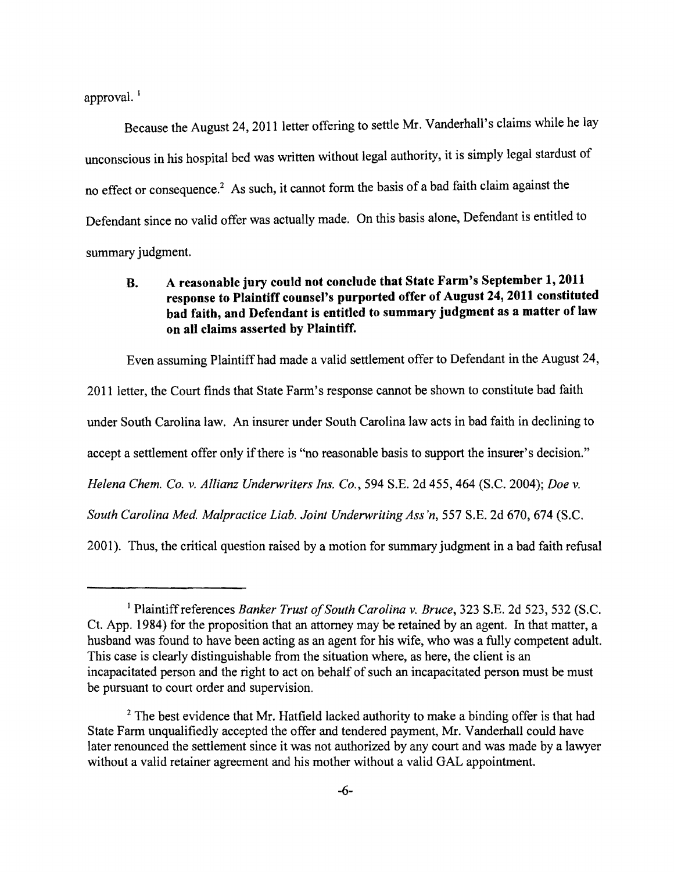approval.<sup>1</sup>

Because the August 24, 2011 letter offering to settle Mr. Vanderhall's claims while he lay unconscious in his hospital bed was written without legal authority, it is simply legal stardust of no effect or consequence.<sup>2</sup> As such, it cannot form the basis of a bad faith claim against the Defendant since no valid offer was actually made. On this basis alone, Defendant is entitled to summary judgment.

# B. A reasonable jury could not conclude that State Farm's September 1, 2011 response to Plaintiff counsel's purported offer of August 24, 2011 constituted bad faith, and Defendant is entitled to summary judgment as a matter of law on all claims asserted by Plaintiff.

Even assuming Plaintiff had made a valid settlement offer to Defendant in the August 24,

2011 letter, the Court finds that State Farm's response cannot be shown to constitute bad faith under South Carolina law. An insurer under South Carolina law acts in bad faith in declining to accept a settlement offer only if there is "no reasonable basis to support the insurer's decision." *Helena Chem. Co.* v. *Allianz Underwriters Ins. Co.,* 594 S.E. 2d 455, 464 (S.C. 2004); *Doe* v. South Carolina Med. Malpractice Liab. Joint Underwriting Ass'n, 557 S.E. 2d 670, 674 (S.C.

2001). Thus, the critical question raised by a motion for summary judgment in a bad faith refusal

<sup>&</sup>lt;sup>1</sup> Plaintiff references *Banker Trust of South Carolina v. Bruce*, 323 S.E. 2d 523, 532 (S.C. Ct. App. 1984) for the proposition that an attorney may be retained by an agent. In that matter, a husband was found to have been acting as an agent for his wife, who was a fully competent adult. This case is clearly distinguishable from the situation where, as here, the client is an incapacitated person and the right to act on behalf of such an incapacitated person must be must be pursuant to court order and supervision.

<sup>&</sup>lt;sup>2</sup> The best evidence that Mr. Hatfield lacked authority to make a binding offer is that had State Farm unqualifiedly accepted the offer and tendered payment, Mr. Vanderhall could have later renounced the settlement since it was not authorized by any court and was made by a lawyer without a valid retainer agreement and his mother without a valid GAL appointment.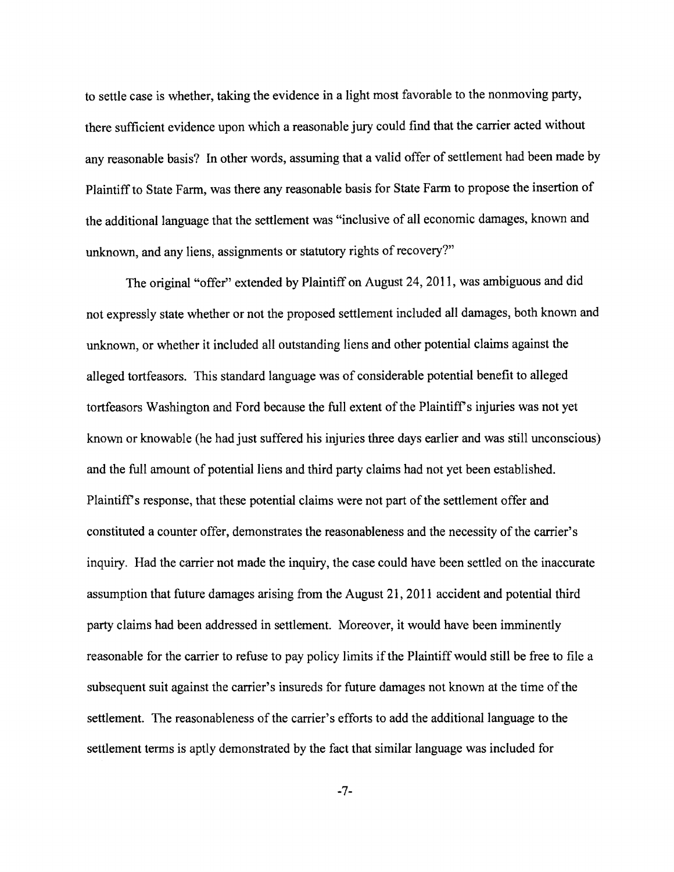to settle case is whether, taking the evidence in a light most favorable to the nonmoving party, there sufficient evidence upon which a reasonable jury could find that the carrier acted without any reasonable basis? In other words, assuming that a valid offer of settlement had been made by Plaintiff to State Farm, was there any reasonable basis for State Farm to propose the insertion of the additional language that the settlement was "inclusive of all economic damages, known and unknown, and any liens, assignments or statutory rights of recovery?"

The original "offer" extended by Plaintiff on August 24, 2011, was ambiguous and did not expressly state whether or not the proposed settlement included all damages, both known and unknown, or whether it included all outstanding liens and other potential claims against the alleged tortfeasors. This standard language was of considerable potential benefit to alleged tortfeasors Washington and Ford because the full extent of the Plaintiff's injuries was not yet known or knowable (he had just suffered his injuries three days earlier and was still unconscious) and the full amount of potential liens and third party claims had not yet been established. Plaintiff's response, that these potential claims were not part of the settlement offer and constituted a counter offer, demonstrates the reasonableness and the necessity of the carrier's inquiry. Had the carrier not made the inquiry, the case could have been settled on the inaccurate assumption that future damages arising from the August 21, 2011 accident and potential third party claims had been addressed in settlement. Moreover, it would have been imminently reasonable for the carrier to refuse to pay policy limits if the Plaintiff would still be free to file a subsequent suit against the carrier's insureds for future damages not known at the time of the settlement. The reasonableness of the carrier's efforts to add the additional language to the settlement terms is aptly demonstrated by the fact that similar language was included for

-7-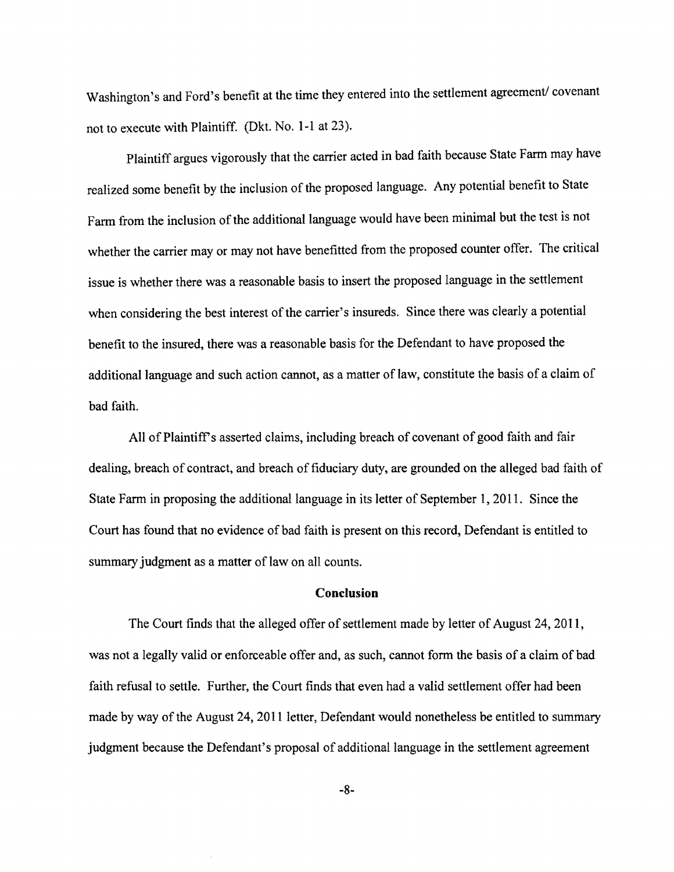Washington's and Ford's benefit at the time they entered into the settlement agreement/covenant not to execute with Plaintiff. (Dkt. No. **1-1** at 23).

Plaintiff argues vigorously that the carrier acted in bad faith because State Farm may have realized some benefit by the inclusion of the proposed language. Any potential benefit to State Farm from the inclusion of the additional language would have been minimal but the test is not whether the carrier mayor may not have benefitted from the proposed counter offer. The critical issue is whether there was a reasonable basis to insert the proposed language in the settlement when considering the best interest of the carrier's insureds. Since there was clearly a potential benefit to the insured, there was a reasonable basis for the Defendant to have proposed the additional language and such action cannot, as a matter of law, constitute the basis of a claim of bad faith.

All of Plaintiff's asserted claims, including breach of covenant of good faith and fair dealing, breach of contract, and breach of fiduciary duty, are grounded on the alleged bad faith of State Farm in proposing the additional language in its letter of September 1, 2011. Since the Court has found that no evidence of bad faith is present on this record, Defendant is entitled to summary judgment as a matter of law on all counts.

#### **Conclusion**

The Court finds that the alleged offer of settlement made by letter of August 24, 2011, was not a legally valid or enforceable offer and, as such, cannot form the basis of a claim of bad faith refusal to settle. Further, the Court finds that even had a valid settlement offer had been made by way of the August 24, 2011 letter, Defendant would nonetheless be entitled to summary judgment because the Defendant's proposal of additional language in the settlement agreement

-8-